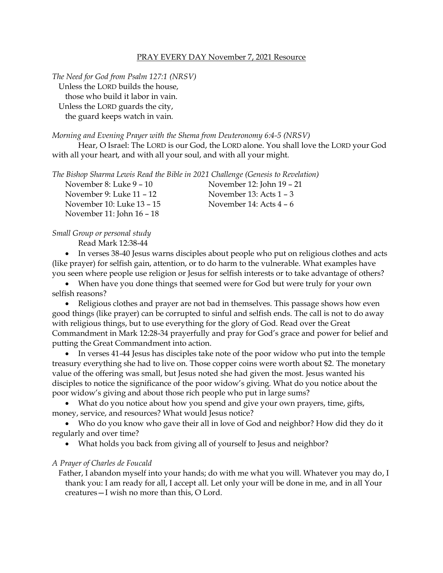## PRAY EVERY DAY November 7, 2021 Resource

*The Need for God from Psalm 127:1 (NRSV)* Unless the LORD builds the house, those who build it labor in vain. Unless the LORD guards the city, the guard keeps watch in vain.

## *Morning and Evening Prayer with the Shema from Deuteronomy 6:4-5 (NRSV)*

Hear, O Israel: The LORD is our God, the LORD alone. You shall love the LORD your God with all your heart, and with all your soul, and with all your might.

*The Bishop Sharma Lewis Read the Bible in 2021 Challenge (Genesis to Revelation)*

| November 8: Luke 9 - 10   | November 12: John 19 – 21 |
|---------------------------|---------------------------|
| November 9: Luke 11 - 12  | November 13: Acts $1 - 3$ |
| November 10: Luke 13 - 15 | November 14: Acts $4 - 6$ |
| November 11: John 16 - 18 |                           |

## *Small Group or personal study*

Read Mark 12:38-44

• In verses 38-40 Jesus warns disciples about people who put on religious clothes and acts (like prayer) for selfish gain, attention, or to do harm to the vulnerable. What examples have you seen where people use religion or Jesus for selfish interests or to take advantage of others?

• When have you done things that seemed were for God but were truly for your own selfish reasons?

• Religious clothes and prayer are not bad in themselves. This passage shows how even good things (like prayer) can be corrupted to sinful and selfish ends. The call is not to do away with religious things, but to use everything for the glory of God. Read over the Great Commandment in Mark 12:28-34 prayerfully and pray for God's grace and power for belief and putting the Great Commandment into action.

• In verses 41-44 Jesus has disciples take note of the poor widow who put into the temple treasury everything she had to live on. Those copper coins were worth about \$2. The monetary value of the offering was small, but Jesus noted she had given the most. Jesus wanted his disciples to notice the significance of the poor widow's giving. What do you notice about the poor widow's giving and about those rich people who put in large sums?

• What do you notice about how you spend and give your own prayers, time, gifts, money, service, and resources? What would Jesus notice?

• Who do you know who gave their all in love of God and neighbor? How did they do it regularly and over time?

• What holds you back from giving all of yourself to Jesus and neighbor?

## *A Prayer of Charles de Foucald*

Father, I abandon myself into your hands; do with me what you will. Whatever you may do, I thank you: I am ready for all, I accept all. Let only your will be done in me, and in all Your creatures—I wish no more than this, O Lord.